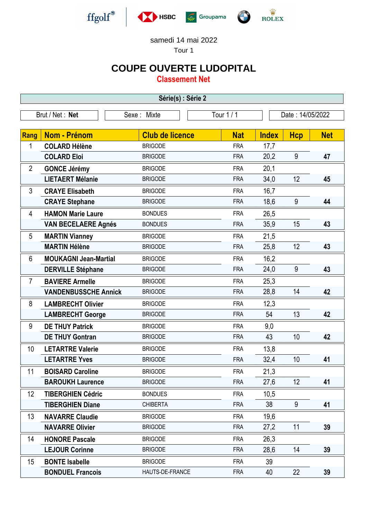

samedi 14 mai 2022

Tour 1

## **COUPE OUVERTE LUDOPITAL**

**Classement Net**

| Série(s) : Série 2 |                              |                        |            |              |                  |            |  |  |  |  |
|--------------------|------------------------------|------------------------|------------|--------------|------------------|------------|--|--|--|--|
| Brut / Net: Net    |                              | Sexe: Mixte            | Tour 1 / 1 |              | Date: 14/05/2022 |            |  |  |  |  |
| Rang               | <b>Nom - Prénom</b>          | <b>Club de licence</b> | <b>Nat</b> | <b>Index</b> | <b>Hcp</b>       | <b>Net</b> |  |  |  |  |
| 1                  | <b>COLARD Hélène</b>         | <b>BRIGODE</b>         | <b>FRA</b> | 17,7         |                  |            |  |  |  |  |
|                    | <b>COLARD Eloi</b>           | <b>BRIGODE</b>         | <b>FRA</b> | 20,2         | 9                | 47         |  |  |  |  |
| $\overline{2}$     | <b>GONCE Jérémy</b>          | <b>BRIGODE</b>         | <b>FRA</b> | 20,1         |                  |            |  |  |  |  |
|                    | <b>LIETAERT Mélanie</b>      | <b>BRIGODE</b>         | <b>FRA</b> | 34,0         | 12               | 45         |  |  |  |  |
| 3                  | <b>CRAYE Elisabeth</b>       | <b>BRIGODE</b>         | <b>FRA</b> | 16,7         |                  |            |  |  |  |  |
|                    | <b>CRAYE Stephane</b>        | <b>BRIGODE</b>         | <b>FRA</b> | 18,6         | 9                | 44         |  |  |  |  |
| 4                  | <b>HAMON Marie Laure</b>     | <b>BONDUES</b>         | <b>FRA</b> | 26,5         |                  |            |  |  |  |  |
|                    | <b>VAN BECELAERE Agnés</b>   | <b>BONDUES</b>         | <b>FRA</b> | 35,9         | 15               | 43         |  |  |  |  |
| 5                  | <b>MARTIN Vianney</b>        | <b>BRIGODE</b>         | <b>FRA</b> | 21,5         |                  |            |  |  |  |  |
|                    | <b>MARTIN Hélène</b>         | <b>BRIGODE</b>         | <b>FRA</b> | 25,8         | 12               | 43         |  |  |  |  |
| 6                  | <b>MOUKAGNI Jean-Martial</b> | <b>BRIGODE</b>         | <b>FRA</b> | 16,2         |                  |            |  |  |  |  |
|                    | <b>DERVILLE Stéphane</b>     | <b>BRIGODE</b>         | <b>FRA</b> | 24,0         | 9                | 43         |  |  |  |  |
| $\overline{7}$     | <b>BAVIERE Armelle</b>       | <b>BRIGODE</b>         | <b>FRA</b> | 25,3         |                  |            |  |  |  |  |
|                    | <b>VANDENBUSSCHE Annick</b>  | <b>BRIGODE</b>         | <b>FRA</b> | 28,8         | 14               | 42         |  |  |  |  |
| 8                  | <b>LAMBRECHT Olivier</b>     | <b>BRIGODE</b>         | <b>FRA</b> | 12,3         |                  |            |  |  |  |  |
|                    | <b>LAMBRECHT George</b>      | <b>BRIGODE</b>         | <b>FRA</b> | 54           | 13               | 42         |  |  |  |  |
| 9                  | <b>DE THUY Patrick</b>       | <b>BRIGODE</b>         | <b>FRA</b> | 9,0          |                  |            |  |  |  |  |
|                    | <b>DE THUY Gontran</b>       | <b>BRIGODE</b>         | <b>FRA</b> | 43           | 10               | 42         |  |  |  |  |
| 10                 | <b>LETARTRE Valerie</b>      | <b>BRIGODE</b>         | <b>FRA</b> | 13,8         |                  |            |  |  |  |  |
|                    | <b>LETARTRE Yves</b>         | <b>BRIGODE</b>         | <b>FRA</b> | 32,4         | 10               | 41         |  |  |  |  |
| 11                 | <b>BOISARD Caroline</b>      | <b>BRIGODE</b>         | <b>FRA</b> | 21,3         |                  |            |  |  |  |  |
|                    | <b>BAROUKH Laurence</b>      | <b>BRIGODE</b>         | <b>FRA</b> | 27,6         | 12               | 41         |  |  |  |  |
| 12                 | <b>TIBERGHIEN Cédric</b>     | <b>BONDUES</b>         | <b>FRA</b> | 10,5         |                  |            |  |  |  |  |
|                    | <b>TIBERGHIEN Diane</b>      | <b>CHIBERTA</b>        | <b>FRA</b> | 38           | 9                | 41         |  |  |  |  |
| 13                 | <b>NAVARRE Claudie</b>       | <b>BRIGODE</b>         | <b>FRA</b> | 19,6         |                  |            |  |  |  |  |
|                    | <b>NAVARRE Olivier</b>       | <b>BRIGODE</b>         | <b>FRA</b> | 27,2         | 11               | 39         |  |  |  |  |
| 14                 | <b>HONORE Pascale</b>        | <b>BRIGODE</b>         | <b>FRA</b> | 26,3         |                  |            |  |  |  |  |
|                    | <b>LEJOUR Corinne</b>        | <b>BRIGODE</b>         | <b>FRA</b> | 28,6         | 14               | 39         |  |  |  |  |
| 15                 | <b>BONTE Isabelle</b>        | <b>BRIGODE</b>         | <b>FRA</b> | 39           |                  |            |  |  |  |  |
|                    | <b>BONDUEL Francois</b>      | HAUTS-DE-FRANCE        | <b>FRA</b> | 40           | 22               | 39         |  |  |  |  |